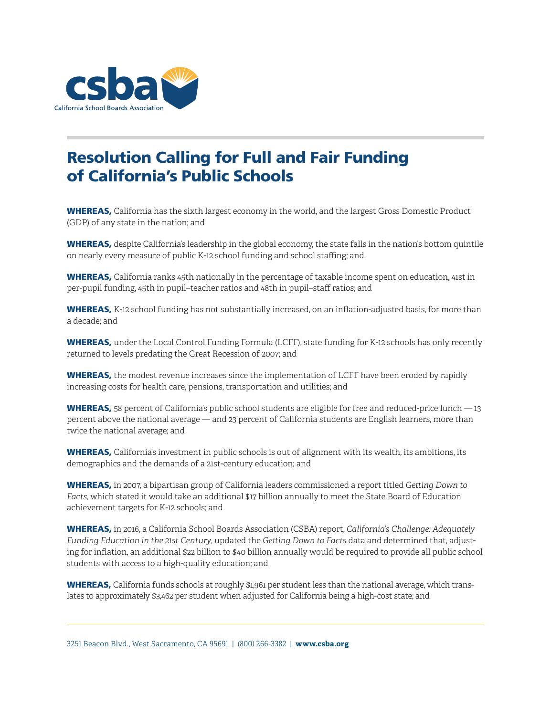

## Resolution Calling for Full and Fair Funding of California's Public Schools

WHEREAS, California has the sixth largest economy in the world, and the largest Gross Domestic Product (GDP) of any state in the nation; and

WHEREAS, despite California's leadership in the global economy, the state falls in the nation's bottom quintile on nearly every measure of public K-12 school funding and school staffing; and

WHEREAS, California ranks 45th nationally in the percentage of taxable income spent on education, 41st in per-pupil funding, 45th in pupil–teacher ratios and 48th in pupil–staff ratios; and

WHEREAS, K-12 school funding has not substantially increased, on an inflation-adjusted basis, for more than a decade; and

WHEREAS, under the Local Control Funding Formula (LCFF), state funding for K-12 schools has only recently returned to levels predating the Great Recession of 2007; and

WHEREAS, the modest revenue increases since the implementation of LCFF have been eroded by rapidly increasing costs for health care, pensions, transportation and utilities; and

WHEREAS, 58 percent of California's public school students are eligible for free and reduced-price lunch – 13 percent above the national average — and 23 percent of California students are English learners, more than twice the national average; and

WHEREAS, California's investment in public schools is out of alignment with its wealth, its ambitions, its demographics and the demands of a 21st-century education; and

WHEREAS, in 2007, a bipartisan group of California leaders commissioned a report titled *Getting Down to Facts*, which stated it would take an additional \$17 billion annually to meet the State Board of Education achievement targets for K-12 schools; and

WHEREAS, in 2016, a California School Boards Association (CSBA) report, *California's Challenge: Adequately Funding Education in the 21st Century*, updated the *Getting Down to Facts* data and determined that, adjusting for inflation, an additional \$22 billion to \$40 billion annually would be required to provide all public school students with access to a high-quality education; and

WHEREAS, California funds schools at roughly \$1,961 per student less than the national average, which translates to approximately \$3,462 per student when adjusted for California being a high-cost state; and

3251 Beacon Blvd., West Sacramento, CA 95691 | (800) 266-3382 | **www.csba.org**